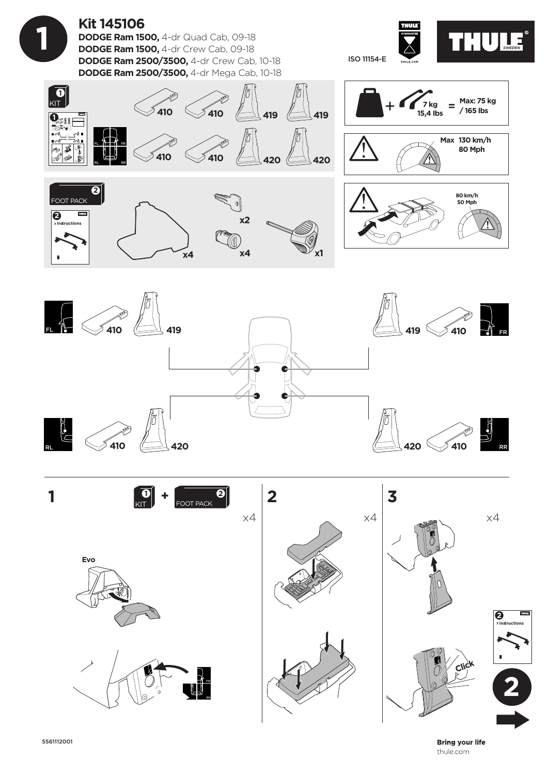

**Bring your life** thule.com

5561112001